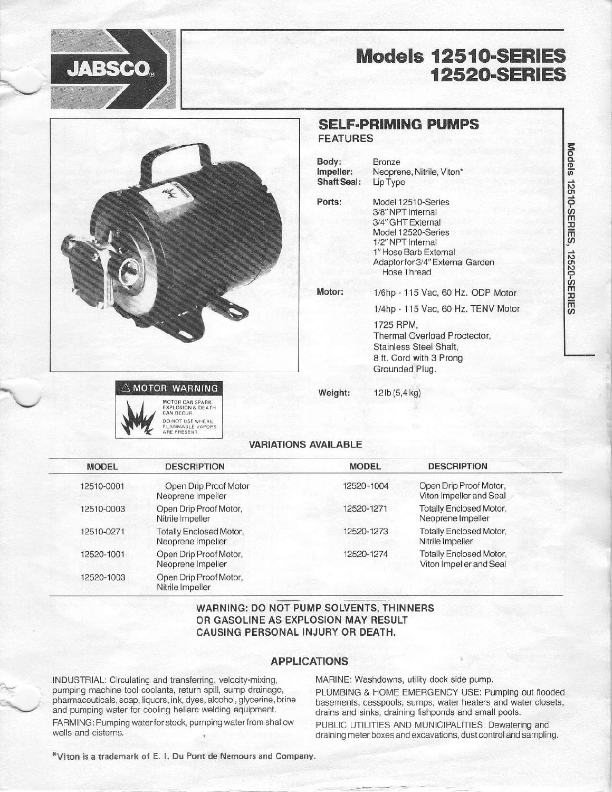# **Models 12510-SERIES 12520-SERIES**



**JABSCO** 

## **SELF-PRIMING PUMPS FEATURES**

| Body:              | Bronze                                                 |
|--------------------|--------------------------------------------------------|
| Impeller:          | Neoprene, Nitrile, Viton*                              |
| <b>Shaft Seal:</b> | Lip Type                                               |
| Ports:             | Model 12510-Series                                     |
|                    | 3/8" NPT Internal                                      |
|                    | 3/4" GHT External                                      |
|                    | Model 12520-Series                                     |
|                    | 1/2" NPT Internal                                      |
|                    | 1" Hose Barb External                                  |
|                    | Adaptor for 3/4" External Garden<br><b>Hose Thread</b> |
| Motor:             | 1/6hp - 115 Vac, 60 Hz. ODP Motor                      |
|                    | 1/4hp - 115 Vac, 60 Hz. TENV Motor                     |
|                    | 1725 RPM,                                              |
|                    | Thermal Overload Proctector,                           |
|                    | Stainless Steel Shaft,                                 |
|                    | 8 ft. Cord with 3 Prong                                |
|                    | Grounded Plug.                                         |
|                    |                                                        |

12 lb (5,4 kg)



## **VARIATIONS AVAILABLE**

Weight:

|  | <b>MODEL</b> | <b>DESCRIPTION</b>                                  | MODEL      | <b>DESCRIPTION</b>                                        |  |
|--|--------------|-----------------------------------------------------|------------|-----------------------------------------------------------|--|
|  | 12510-0001   | Open Drip Proof Motor<br>Neoprene Impeller          | 12520-1004 | Open Drip Proof Motor,<br>Viton Impeller and Seal         |  |
|  | 12510-0003   | Open Drip Proof Motor,<br>Nitrile Impeller          | 12520-1271 | <b>Totally Enclosed Motor,</b><br>Neoprene Impeller       |  |
|  | 12510-0271   | <b>Totally Enclosed Motor,</b><br>Neoprene Impeller | 12520-1273 | <b>Totally Enclosed Motor,</b><br>Nitrile Impeller        |  |
|  | 12520-1001   | Open Drip Proof Motor,<br>Neoprene Impeller         | 12520-1274 | <b>Totally Enclosed Motor,</b><br>Viton Impeller and Seal |  |
|  | 12520-1003   | Open Drip Proof Motor,<br>Nitrile Impeller          |            |                                                           |  |

## WARNING: DO NOT PUMP SOLVENTS, THINNERS OR GASOLINE AS EXPLOSION MAY RESULT CAUSING PERSONAL INJURY OR DEATH.

## **APPLICATIONS**

INDUSTRIAL: Circulating and transferring, velocity-mixing, pumping machine tool coolants, return spill, sump drainage, pharmaceuticals, soap, liquors, ink, dyes, alcohol, glycerine, brine and pumping water for cooling heliarc welding equipment.

FARMING: Pumping water for stock, pumping water from shallow wells and cisterns.

MARINE: Washdowns, utility dock side pump. PLUMBING & HOME EMERGENCY USE: Pumping out flooded basements, cesspools, sumps, water heaters and water closets, drains and sinks, draining fishponds and small pools. PUBLIC UTILITIES AND MUNICIPALITIES: Dewatering and

draining meter boxes and excavations, dust control and sampling.

\*Viton is a trademark of E. I. Du Pont de Nemours and Company.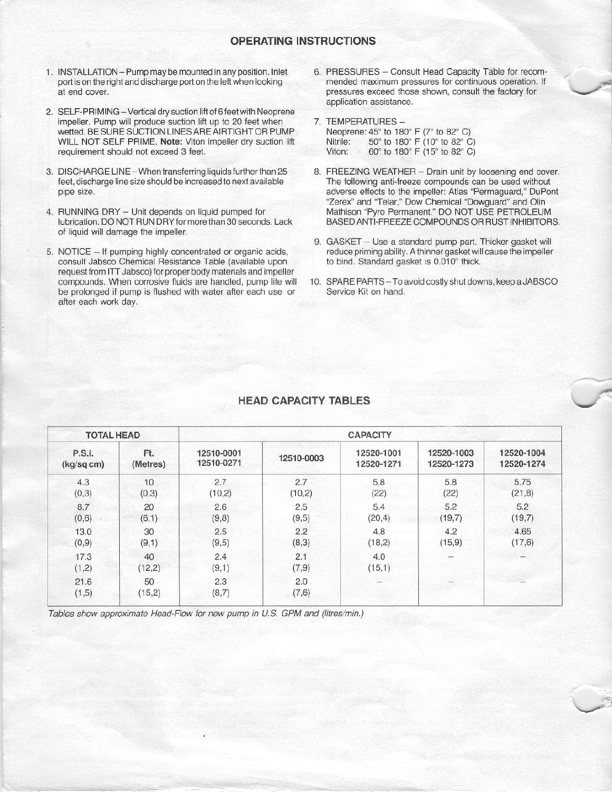## **OPERATING INSTRUCTIONS**

- 1. INSTALLATION Pump may be mounted in any position. Inlet port is on the right and discharge port on the left when looking at end cover.
- 2. SELF-PRIMING Vertical dry suction lift of 6 feet with Neoprene impeller. Pump will produce suction lift up to 20 feet when wetted. BE SURE SUCTION LINES ARE AIRTIGHT OR PUMP WILL NOT SELF PRIME. Note: Viton impeller dry suction lift requirement should not exceed 3 feet.
- 3. DISCHARGE LINE When transferring liquids further than 25 feet, discharge line size should be increased to next available pipe size.
- 4. RUNNING DRY Unit depends on liquid pumped for lubrication. DO NOT RUN DRY for more than 30 seconds. Lack of liquid will damage the impeller.
- 5. NOTICE If pumping highly concentrated or organic acids. consult Jabsco Chemical Resistance Table (available upon request from ITT Jabsco) for proper body materials and impeller compounds. When corrosive fluids are handled, pump life will be prolonged if pump is flushed with water after each use or after each work day.
- 6. PRESSURES Consult Head Capacity Table for recommended maximum pressures for continuous operation. If pressures exceed those shown, consult the factory for application assistance.
- 7. TEMPERATURES -Neoprene: 45° to 180° F (7° to 82° C) 50° to 180° F (10° to 82° C) Nitrile: 60° to 180° F (15° to 82° C) Viton:
- 8. FREEZING WEATHER Drain unit by loosening end cover. The following anti-freeze compounds can be used without adverse effects to the impeller: Atlas "Permaguard," DuPont "Zerex" and "Telar," Dow Chemical "Dowquard" and Olin Mathison "Pyro Permanent." DO NOT USE PETROLEUM<br>BASED ANTI-FREEZE COMPOUNDS OR RUST INHIBITORS.
- 9. GASKET Use a standard pump part. Thicker gasket will reduce priming ability. A thinner gasket will cause the impeller to bind. Standard gasket is 0.010" thick.
- 10. SPARE PARTS To avoid costly shut downs, keep a JABSCO Service Kit on hand.

## **HEAD CAPACITY TABLES**

| <b>TOTAL HEAD</b> |               | <b>CAPACITY</b> |               |               |                          |            |
|-------------------|---------------|-----------------|---------------|---------------|--------------------------|------------|
| <b>P.S.I.</b>     | Ft.           | 12510-0001      | 12510-0003    | 12520-1001    | 12520-1003               | 12520-1004 |
| (kg/sq cm)        | (Metres)      | 12510-0271      |               | 12520-1271    | 12520-1273               | 12520-1274 |
| 4.3               | 10            | 2.7             | 2.7           | 5.8           | 5.8                      | 5.75       |
| (0,3)             | (0,3)         | (10,2)          | (10,2)        | (22)          | (22)                     | (21, 8)    |
| 8.7               | 20            | 2.6             | 2.5           | 5.4           | 5.2                      | 5.2        |
| (0, 6)            | (6,1)         | (9, 8)          | (9, 5)        | (20, 4)       | (19,7)                   | (19,7)     |
| 13.0              | 30            | 2.5             | 2.2           | 4.8           | 4.2                      | 4.65       |
| (0, 9)            | (9,1)         | (9, 5)          | (8,3)         | (18, 2)       | (15, 9)                  | (17, 6)    |
| 17.3<br>(1,2)     | 40<br>(12, 2) | 2.4<br>(9,1)    | 2.1<br>(7, 9) | 4.0<br>(15,1) | $\overline{\phantom{a}}$ |            |
| 21.6<br>(1,5)     | 50<br>(15,2)  | 2.3<br>(8,7)    | 2.0<br>(7, 6) | $\frac{1}{2}$ |                          |            |

Tables show approximate Head-Flow for new pump in U.S. GPM and (litres/min.)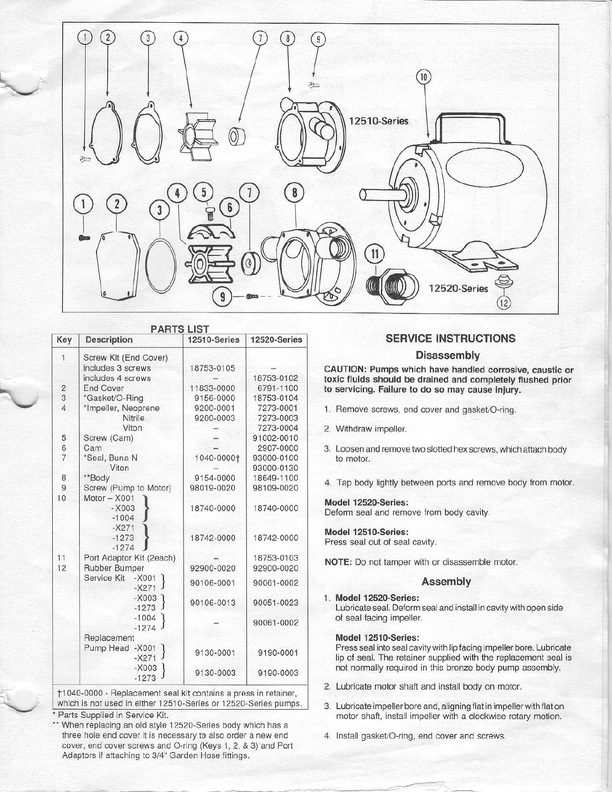

| Key            | Description                       | <b>12510-Series</b> | 12520-Series |
|----------------|-----------------------------------|---------------------|--------------|
| 1              | Screw Kit (End Cover)             |                     |              |
|                | includes 3 screws                 | 18753-0105          |              |
|                | includes 4 screws                 |                     | 18753-0102   |
|                | <b>End Cover</b>                  | 11833-0000          | 6791-1100    |
| $\frac{2}{3}$  | *Gasket/O-Ring                    | 9156-0000           | 18753-0104   |
| $\overline{4}$ | *Impeller, Neoprene               | 9200-0001           | 7273-0001    |
|                | Nitrile                           | 9200-0003           | 7273-0003    |
|                | Viton                             |                     | 7273-0004    |
| 5              | Screw (Cam)                       |                     | 91002-0010   |
| $\frac{6}{7}$  | Cam                               |                     | 2907-0000    |
|                | *Seal, Buna N                     | 1040-0000†          | 93000-0100   |
|                | Viton                             |                     | 93000-0130   |
| 8              | **Body                            | 9154-0000           | 18649-1100   |
| 9              | Screw (Pump to Motor)             | 98019-0020          | 98109-0020   |
| 10             | Motor - X001                      |                     |              |
|                | $-X003$<br>$-1004$                | 18740-0000          | 18740-0000   |
|                | $-X271$                           |                     |              |
|                | $-1273$<br>$-1274$                | 18742-0000          | 18742-0000   |
| 11             | Port Adaptor Kit (2each)          |                     | 18753-0103   |
| 12             | Rubber Bumper                     | 92900-0020          | 92900-0020   |
|                | Service Kit<br>$-X001$<br>$-X271$ | 90106-0001          | 90061-0002   |
|                | $-X003$<br>$-1273$                | 90106-0013          | 90051-0023   |
|                | $-1004$ $l$<br>$-1274$            |                     | 90061-0002   |
|                | Replacement                       |                     |              |
|                | Pump Head<br>$-X001$<br>$- X271$  | 9130-0001           | 9190-0001    |
|                | $-X003$<br>$-1273$                | 9130-0003           | 9190-0003    |

which is not used in either 12510-Series or 12520-Series pumps.

Parts Supplied in Service Kit.

\*\* When replacing an old style 12520-Series body which has a three hole end cover it is necessary to also order a new end cover, end cover screws and O-ring (Keys 1, 2, & 3) and Port Adaptors if attaching to 3/4" Garden Hose fittings.

## **SERVICE INSTRUCTIONS**

#### **Disassembly**

CAUTION: Pumps which have handled corrosive, caustic or toxic fluids should be drained and completely flushed prior to servicing. Failure to do so may cause injury.

- 1. Remove screws, end cover and gasket/O-ring.
- 2. Withdraw impeller.
- 3. Loosen and remove two slotted hex screws, which attach body to motor.
- 4. Tap body lightly between ports and remove body from motor.

#### Model 12520-Series:

Deform seal and remove from body cavity.

## Model 12510-Series:

Press seal out of seal cavity.

NOTE: Do not tamper with or disassemble motor.

#### **Assembly**

1. Model 12520-Series: Lubricate seal. Deform seal and install in cavity with open side of seal facing impeller.

#### Model 12510-Series:

Press seal into seal cavity with lip facing impeller bore. Lubricate lip of seal. The retainer supplied with the replacement seal is not normally required in this bronze body pump assembly.

- 2. Lubricate motor shaft and install body on motor.
- 3. Lubricate impeller bore and, aligning flat in impeller with flat on motor shaft, install impeller with a clockwise rotary motion.
- 4. Install gasket/O-ring, end cover and screws.